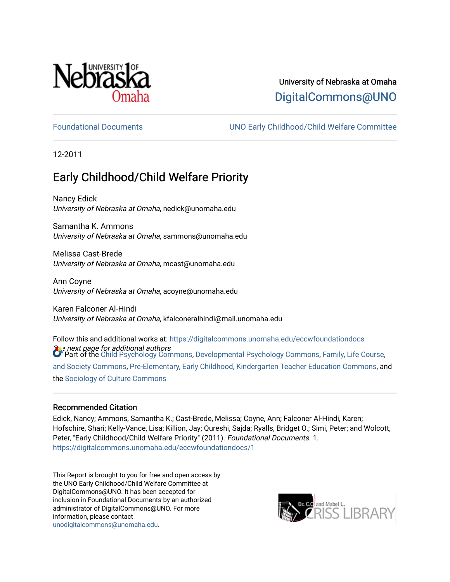

# University of Nebraska at Omaha [DigitalCommons@UNO](https://digitalcommons.unomaha.edu/)

[Foundational Documents](https://digitalcommons.unomaha.edu/eccwfoundationdocs) [UNO Early Childhood/Child Welfare Committee](https://digitalcommons.unomaha.edu/eccw) 

12-2011

# Early Childhood/Child Welfare Priority

Nancy Edick University of Nebraska at Omaha, nedick@unomaha.edu

Samantha K. Ammons University of Nebraska at Omaha, sammons@unomaha.edu

Melissa Cast-Brede University of Nebraska at Omaha, mcast@unomaha.edu

Ann Coyne University of Nebraska at Omaha, acoyne@unomaha.edu

Karen Falconer Al-Hindi University of Nebraska at Omaha, kfalconeralhindi@mail.unomaha.edu

 $\Omega$ e next page for additional authors<br>Of Part of the [Child Psychology Commons,](http://network.bepress.com/hgg/discipline/1023?utm_source=digitalcommons.unomaha.edu%2Feccwfoundationdocs%2F1&utm_medium=PDF&utm_campaign=PDFCoverPages) [Developmental Psychology Commons,](http://network.bepress.com/hgg/discipline/410?utm_source=digitalcommons.unomaha.edu%2Feccwfoundationdocs%2F1&utm_medium=PDF&utm_campaign=PDFCoverPages) Family, Life Course, Follow this and additional works at: [https://digitalcommons.unomaha.edu/eccwfoundationdocs](https://digitalcommons.unomaha.edu/eccwfoundationdocs?utm_source=digitalcommons.unomaha.edu%2Feccwfoundationdocs%2F1&utm_medium=PDF&utm_campaign=PDFCoverPages) [and Society Commons](http://network.bepress.com/hgg/discipline/419?utm_source=digitalcommons.unomaha.edu%2Feccwfoundationdocs%2F1&utm_medium=PDF&utm_campaign=PDFCoverPages), [Pre-Elementary, Early Childhood, Kindergarten Teacher Education Commons,](http://network.bepress.com/hgg/discipline/808?utm_source=digitalcommons.unomaha.edu%2Feccwfoundationdocs%2F1&utm_medium=PDF&utm_campaign=PDFCoverPages) and the [Sociology of Culture Commons](http://network.bepress.com/hgg/discipline/431?utm_source=digitalcommons.unomaha.edu%2Feccwfoundationdocs%2F1&utm_medium=PDF&utm_campaign=PDFCoverPages) 

#### Recommended Citation

Edick, Nancy; Ammons, Samantha K.; Cast-Brede, Melissa; Coyne, Ann; Falconer Al-Hindi, Karen; Hofschire, Shari; Kelly-Vance, Lisa; Killion, Jay; Qureshi, Sajda; Ryalls, Bridget O.; Simi, Peter; and Wolcott, Peter, "Early Childhood/Child Welfare Priority" (2011). Foundational Documents. 1. [https://digitalcommons.unomaha.edu/eccwfoundationdocs/1](https://digitalcommons.unomaha.edu/eccwfoundationdocs/1?utm_source=digitalcommons.unomaha.edu%2Feccwfoundationdocs%2F1&utm_medium=PDF&utm_campaign=PDFCoverPages) 

This Report is brought to you for free and open access by the UNO Early Childhood/Child Welfare Committee at DigitalCommons@UNO. It has been accepted for inclusion in Foundational Documents by an authorized administrator of DigitalCommons@UNO. For more information, please contact [unodigitalcommons@unomaha.edu.](mailto:unodigitalcommons@unomaha.edu)

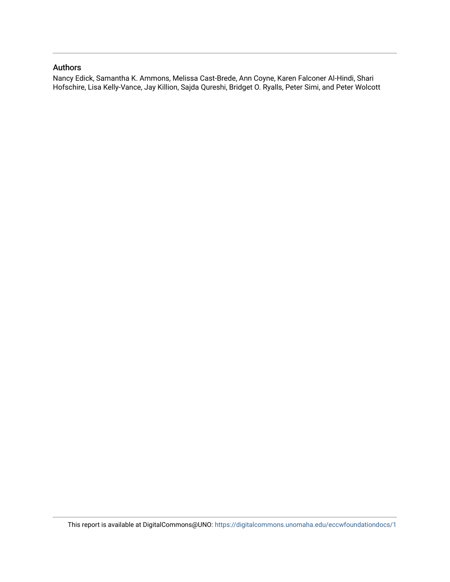#### Authors

Nancy Edick, Samantha K. Ammons, Melissa Cast-Brede, Ann Coyne, Karen Falconer Al-Hindi, Shari Hofschire, Lisa Kelly-Vance, Jay Killion, Sajda Qureshi, Bridget O. Ryalls, Peter Simi, and Peter Wolcott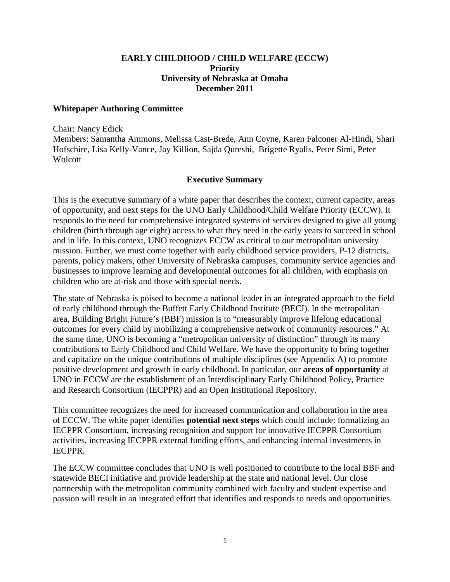#### **EARLY CHILDHOOD / CHILD WELFARE (ECCW) Priority University of Nebraska at Omaha December 2011**

#### **Whitepaper Authoring Committee**

Chair: Nancy Edick

Members: Samantha Ammons, Melissa Cast-Brede, Ann Coyne, Karen Falconer Al-Hindi, Shari Hofschire, Lisa Kelly-Vance, Jay Killion, Sajda Qureshi, Brigette Ryalls, Peter Simi, Peter **Wolcott** 

#### **Executive Summary**

This is the executive summary of a white paper that describes the context, current capacity, areas of opportunity, and next steps for the UNO Early Childhood/Child Welfare Priority (ECCW). It responds to the need for comprehensive integrated systems of services designed to give all young children (birth through age eight) access to what they need in the early years to succeed in school and in life. In this context, UNO recognizes ECCW as critical to our metropolitan university mission. Further, we must come together with early childhood service providers, P-12 districts, parents, policy makers, other University of Nebraska campuses, community service agencies and businesses to improve learning and developmental outcomes for all children, with emphasis on children who are at-risk and those with special needs.

The state of Nebraska is poised to become a national leader in an integrated approach to the field of early childhood through the Buffett Early Childhood Institute (BECI). In the metropolitan area, Building Bright Future's (BBF) mission is to "measurably improve lifelong educational outcomes for every child by mobilizing a comprehensive network of community resources." At the same time, UNO is becoming a "metropolitan university of distinction" through its many contributions to Early Childhood and Child Welfare. We have the opportunity to bring together and capitalize on the unique contributions of multiple disciplines (see Appendix A) to promote positive development and growth in early childhood. In particular, our **areas of opportunity** at UNO in ECCW are the establishment of an Interdisciplinary Early Childhood Policy, Practice and Research Consortium (IECPPR) and an Open Institutional Repository.

This committee recognizes the need for increased communication and collaboration in the area of ECCW. The white paper identifies **potential next steps** which could include: formalizing an IECPPR Consortium, increasing recognition and support for innovative IECPPR Consortium activities, increasing IECPPR external funding efforts, and enhancing internal investments in IECPPR.

The ECCW committee concludes that UNO is well positioned to contribute to the local BBF and statewide BECI initiative and provide leadership at the state and national level. Our close partnership with the metropolitan community combined with faculty and student expertise and passion will result in an integrated effort that identifies and responds to needs and opportunities.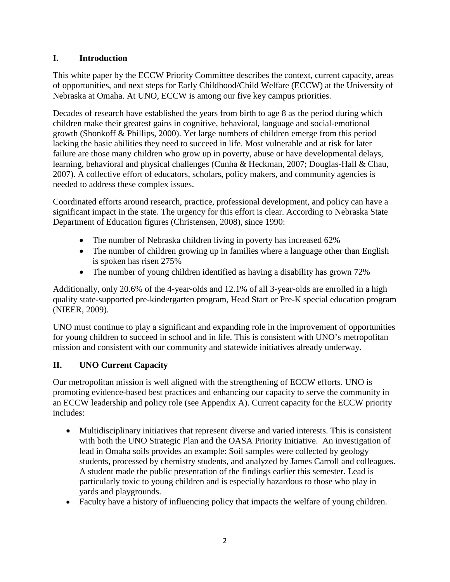# **I. Introduction**

This white paper by the ECCW Priority Committee describes the context, current capacity, areas of opportunities, and next steps for Early Childhood/Child Welfare (ECCW) at the University of Nebraska at Omaha. At UNO, ECCW is among our five key campus priorities.

Decades of research have established the years from birth to age 8 as the period during which children make their greatest gains in cognitive, behavioral, language and social-emotional growth (Shonkoff & Phillips, 2000). Yet large numbers of children emerge from this period lacking the basic abilities they need to succeed in life. Most vulnerable and at risk for later failure are those many children who grow up in poverty, abuse or have developmental delays, learning, behavioral and physical challenges (Cunha & Heckman, 2007; Douglas-Hall & Chau, 2007). A collective effort of educators, scholars, policy makers, and community agencies is needed to address these complex issues.

Coordinated efforts around research, practice, professional development, and policy can have a significant impact in the state. The urgency for this effort is clear. According to Nebraska State Department of Education figures (Christensen, 2008), since 1990:

- The number of Nebraska children living in poverty has increased 62%
- The number of children growing up in families where a language other than English is spoken has risen 275%
- The number of young children identified as having a disability has grown 72%

Additionally, only 20.6% of the 4-year-olds and 12.1% of all 3-year-olds are enrolled in a high quality state-supported pre-kindergarten program, Head Start or Pre-K special education program (NIEER, 2009).

UNO must continue to play a significant and expanding role in the improvement of opportunities for young children to succeed in school and in life. This is consistent with UNO's metropolitan mission and consistent with our community and statewide initiatives already underway.

# **II. UNO Current Capacity**

Our metropolitan mission is well aligned with the strengthening of ECCW efforts. UNO is promoting evidence-based best practices and enhancing our capacity to serve the community in an ECCW leadership and policy role (see Appendix A). Current capacity for the ECCW priority includes:

- Multidisciplinary initiatives that represent diverse and varied interests. This is consistent with both the UNO Strategic Plan and the OASA Priority Initiative. An investigation of lead in Omaha soils provides an example: Soil samples were collected by geology students, processed by chemistry students, and analyzed by James Carroll and colleagues. A student made the public presentation of the findings earlier this semester. Lead is particularly toxic to young children and is especially hazardous to those who play in yards and playgrounds.
- Faculty have a history of influencing policy that impacts the welfare of young children.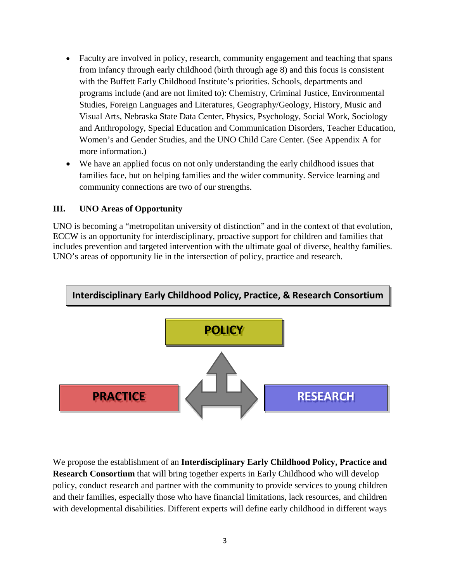- Faculty are involved in policy, research, community engagement and teaching that spans from infancy through early childhood (birth through age 8) and this focus is consistent with the Buffett Early Childhood Institute's priorities. Schools, departments and programs include (and are not limited to): Chemistry, Criminal Justice, Environmental Studies, Foreign Languages and Literatures, Geography/Geology, History, Music and Visual Arts, Nebraska State Data Center, Physics, Psychology, Social Work, Sociology and Anthropology, Special Education and Communication Disorders, Teacher Education, Women's and Gender Studies, and the UNO Child Care Center. (See Appendix A for more information.)
- We have an applied focus on not only understanding the early childhood issues that families face, but on helping families and the wider community. Service learning and community connections are two of our strengths.

# **III. UNO Areas of Opportunity**

UNO is becoming a "metropolitan university of distinction" and in the context of that evolution, ECCW is an opportunity for interdisciplinary, proactive support for children and families that includes prevention and targeted intervention with the ultimate goal of diverse, healthy families. UNO's areas of opportunity lie in the intersection of policy, practice and research.



We propose the establishment of an **Interdisciplinary Early Childhood Policy, Practice and Research Consortium** that will bring together experts in Early Childhood who will develop policy, conduct research and partner with the community to provide services to young children and their families, especially those who have financial limitations, lack resources, and children with developmental disabilities. Different experts will define early childhood in different ways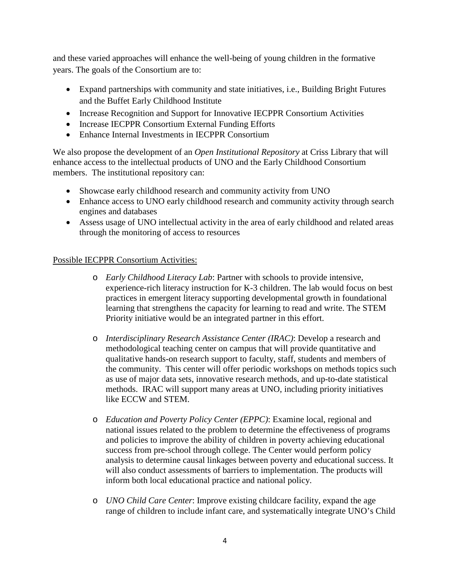and these varied approaches will enhance the well-being of young children in the formative years. The goals of the Consortium are to:

- Expand partnerships with community and state initiatives, *i.e.*, Building Bright Futures and the Buffet Early Childhood Institute
- Increase Recognition and Support for Innovative IECPPR Consortium Activities
- Increase IECPPR Consortium External Funding Efforts
- Enhance Internal Investments in IECPPR Consortium

We also propose the development of an *Open Institutional Repository* at Criss Library that will enhance access to the intellectual products of UNO and the Early Childhood Consortium members. The institutional repository can:

- Showcase early childhood research and community activity from UNO
- Enhance access to UNO early childhood research and community activity through search engines and databases
- Assess usage of UNO intellectual activity in the area of early childhood and related areas through the monitoring of access to resources

# Possible IECPPR Consortium Activities:

- o *Early Childhood Literacy Lab*: Partner with schools to provide intensive, experience-rich literacy instruction for K-3 children. The lab would focus on best practices in emergent literacy supporting developmental growth in foundational learning that strengthens the capacity for learning to read and write. The STEM Priority initiative would be an integrated partner in this effort.
- o *Interdisciplinary Research Assistance Center (IRAC)*: Develop a research and methodological teaching center on campus that will provide quantitative and qualitative hands-on research support to faculty, staff, students and members of the community. This center will offer periodic workshops on methods topics such as use of major data sets, innovative research methods, and up-to-date statistical methods. IRAC will support many areas at UNO, including priority initiatives like ECCW and STEM.
- o *Education and Poverty Policy Center (EPPC)*: Examine local, regional and national issues related to the problem to determine the effectiveness of programs and policies to improve the ability of children in poverty achieving educational success from pre-school through college. The Center would perform policy analysis to determine causal linkages between poverty and educational success. It will also conduct assessments of barriers to implementation. The products will inform both local educational practice and national policy.
- o *UNO Child Care Center*: Improve existing childcare facility, expand the age range of children to include infant care, and systematically integrate UNO's Child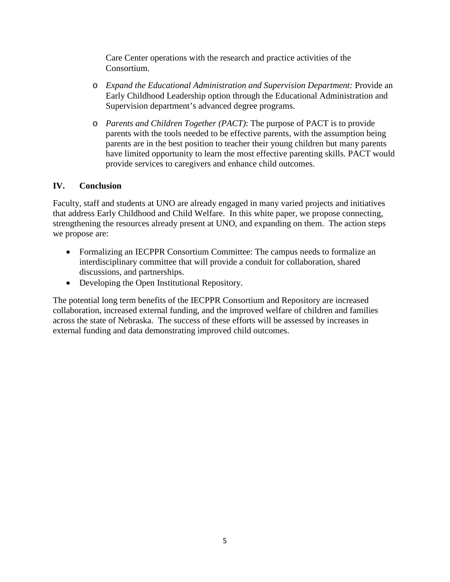Care Center operations with the research and practice activities of the Consortium.

- o *Expand the Educational Administration and Supervision Department:* Provide an Early Childhood Leadership option through the Educational Administration and Supervision department's advanced degree programs.
- o *Parents and Children Together (PACT)*: The purpose of PACT is to provide parents with the tools needed to be effective parents, with the assumption being parents are in the best position to teacher their young children but many parents have limited opportunity to learn the most effective parenting skills. PACT would provide services to caregivers and enhance child outcomes.

# **IV. Conclusion**

Faculty, staff and students at UNO are already engaged in many varied projects and initiatives that address Early Childhood and Child Welfare. In this white paper, we propose connecting, strengthening the resources already present at UNO, and expanding on them. The action steps we propose are:

- Formalizing an IECPPR Consortium Committee: The campus needs to formalize an interdisciplinary committee that will provide a conduit for collaboration, shared discussions, and partnerships.
- Developing the Open Institutional Repository.

The potential long term benefits of the IECPPR Consortium and Repository are increased collaboration, increased external funding, and the improved welfare of children and families across the state of Nebraska. The success of these efforts will be assessed by increases in external funding and data demonstrating improved child outcomes.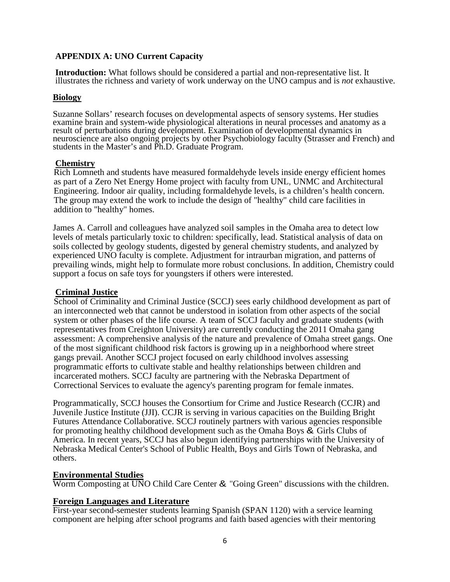# **APPENDIX A: UNO Current Capacity**

**Introduction:** What follows should be considered a partial and non-representative list. It illustrates the richness and variety of work underway on the UNO campus and is *not* exhaustive.

#### **Biology**

Suzanne Sollars' research focuses on developmental aspects of sensory systems. Her studies examine brain and system-wide physiological alterations in neural processes and anatomy as a result of perturbations during development. Examination of developmental dynamics in neuroscience are also ongoing projects by other Psychobiology faculty (Strasser and French) and students in the Master's and Ph.D. Graduate Program.

#### **Chemistry**

Rich Lomneth and students have measured formaldehyde levels inside energy efficient homes as part of a Zero Net Energy Home project with faculty from UNL, UNMC and Architectural Engineering. Indoor air quality, including formaldehyde levels, is a children's health concern. The group may extend the work to include the design of "healthy" child care facilities in addition to "healthy" homes.

James A. Carroll and colleagues have analyzed soil samples in the Omaha area to detect low levels of metals particularly toxic to children: specifically, lead. Statistical analysis of data on soils collected by geology students, digested by general chemistry students, and analyzed by experienced UNO faculty is complete. Adjustment for intraurban migration, and patterns of prevailing winds, might help to formulate more robust conclusions. In addition, Chemistry could support a focus on safe toys for youngsters if others were interested.

#### **Criminal Justice**

School of Criminality and Criminal Justice (SCCJ) sees early childhood development as part of an interconnected web that cannot be understood in isolation from other aspects of the social system or other phases of the life course. A team of SCCJ faculty and graduate students (with representatives from Creighton University) are currently conducting the 2011 Omaha gang assessment: A comprehensive analysis of the nature and prevalence of Omaha street gangs. One of the most significant childhood risk factors is growing up in a neighborhood where street gangs prevail. Another SCCJ project focused on early childhood involves assessing programmatic efforts to cultivate stable and healthy relationships between children and incarcerated mothers. SCCJ faculty are partnering with the Nebraska Department of Correctional Services to evaluate the agency's parenting program for female inmates.

Programmatically, SCCJ houses the Consortium for Crime and Justice Research (CCJR) and Juvenile Justice Institute (JJI). CCJR is serving in various capacities on the Building Bright Futures Attendance Collaborative. SCCJ routinely partners with various agencies responsible for promoting healthy childhood development such as the Omaha Boys & Girls Clubs of America. In recent years, SCCJ has also begun identifying partnerships with the University of Nebraska Medical Center's School of Public Health, Boys and Girls Town of Nebraska, and others.

#### **Environmental Studies**

Worm Composting at UNO Child Care Center & "Going Green" discussions with the children.

#### **Foreign Languages and Literature**

First-year second-semester students learning Spanish (SPAN 1120) with a service learning component are helping after school programs and faith based agencies with their mentoring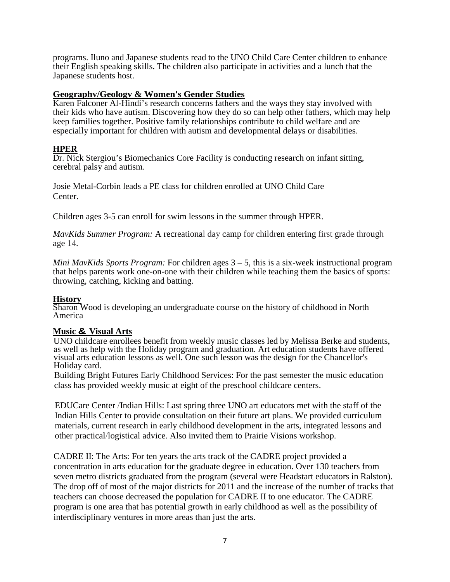programs. Iluno and Japanese students read to the UNO Child Care Center children to enhance their English speaking skills. The children also participate in activities and a lunch that the Japanese students host.

# **Geographv/Geologv & Women's Gender Studies**

Karen Falconer Al-Hindi's research concerns fathers and the ways they stay involved with their kids who have autism. Discovering how they do so can help other fathers, which may help keep families together. Positive family relationships contribute to child welfare and are especially important for children with autism and developmental delays or disabilities.

# **HPER**

Dr. Nick Stergiou's Biomechanics Core Facility is conducting research on infant sitting, cerebral palsy and autism.

Josie Metal-Corbin leads a PE class for children enrolled at UNO Child Care Center.

Children ages 3-5 can enroll for swim lessons in the summer through HPER.

*MavKids Summer Program:* A recreational day camp for children entering first grade through age 14.

*Mini MavKids Sports Program:* For children ages 3 – 5, this is a six-week instructional program that helps parents work one-on-one with their children while teaching them the basics of sports: throwing, catching, kicking and batting.

#### **History**

Sharon Wood is developing an undergraduate course on the history of childhood in North America

#### **Music & Visual Arts**

UNO childcare enrollees benefit from weekly music classes led by Melissa Berke and students, as well as help with the Holiday program and graduation. Art education students have offered visual arts education lessons as well. One such lesson was the design for the Chancellor's Holiday card.

Building Bright Futures Early Childhood Services: For the past semester the music education class has provided weekly music at eight of the preschool childcare centers.

EDUCare Center /Indian Hills: Last spring three UNO art educators met with the staff of the Indian Hills Center to provide consultation on their future art plans. We provided curriculum materials, current research in early childhood development in the arts, integrated lessons and other practical/logistical advice. Also invited them to Prairie Visions workshop.

CADRE II: The Arts: For ten years the arts track of the CADRE project provided a concentration in arts education for the graduate degree in education. Over 130 teachers from seven metro districts graduated from the program (several were Headstart educators in Ralston). The drop off of most of the major districts for 2011 and the increase of the number of tracks that teachers can choose decreased the population for CADRE II to one educator. The CADRE program is one area that has potential growth in early childhood as well as the possibility of interdisciplinary ventures in more areas than just the arts.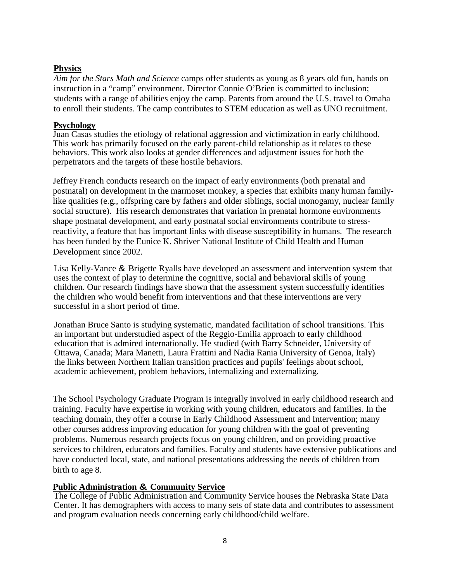# **Physics**

*Aim for the Stars Math and Science* camps offer students as young as 8 years old fun, hands on instruction in a "camp" environment. Director Connie O'Brien is committed to inclusion; students with a range of abilities enjoy the camp. Parents from around the U.S. travel to Omaha to enroll their students. The camp contributes to STEM education as well as UNO recruitment.

#### **Psychology**

Juan Casas studies the etiology of relational aggression and victimization in early childhood. This work has primarily focused on the early parent-child relationship as it relates to these behaviors. This work also looks at gender differences and adjustment issues for both the perpetrators and the targets of these hostile behaviors.

Jeffrey French conducts research on the impact of early environments (both prenatal and postnatal) on development in the marmoset monkey, a species that exhibits many human familylike qualities (e.g., offspring care by fathers and older siblings, social monogamy, nuclear family social structure). His research demonstrates that variation in prenatal hormone environments shape postnatal development, and early postnatal social environments contribute to stressreactivity, a feature that has important links with disease susceptibility in humans. The research has been funded by the Eunice K. Shriver National Institute of Child Health and Human Development since 2002.

Lisa Kelly-Vance & Brigette Ryalls have developed an assessment and intervention system that uses the context of play to determine the cognitive, social and behavioral skills of young children. Our research findings have shown that the assessment system successfully identifies the children who would benefit from interventions and that these interventions are very successful in a short period of time.

Jonathan Bruce Santo is studying systematic, mandated facilitation of school transitions. This an important but understudied aspect of the Reggio-Emilia approach to early childhood education that is admired internationally. He studied (with Barry Schneider, University of Ottawa, Canada; Mara Manetti, Laura Frattini and Nadia Rania University of Genoa, Italy) the links between Northern Italian transition practices and pupils' feelings about school, academic achievement, problem behaviors, internalizing and externalizing.

The School Psychology Graduate Program is integrally involved in early childhood research and training. Faculty have expertise in working with young children, educators and families. In the teaching domain, they offer a course in Early Childhood Assessment and Intervention; many other courses address improving education for young children with the goal of preventing problems. Numerous research projects focus on young children, and on providing proactive services to children, educators and families. Faculty and students have extensive publications and have conducted local, state, and national presentations addressing the needs of children from birth to age 8.

# **Public Administration & Community Service**

The College of Public Administration and Community Service houses the Nebraska State Data Center. It has demographers with access to many sets of state data and contributes to assessment and program evaluation needs concerning early childhood/child welfare.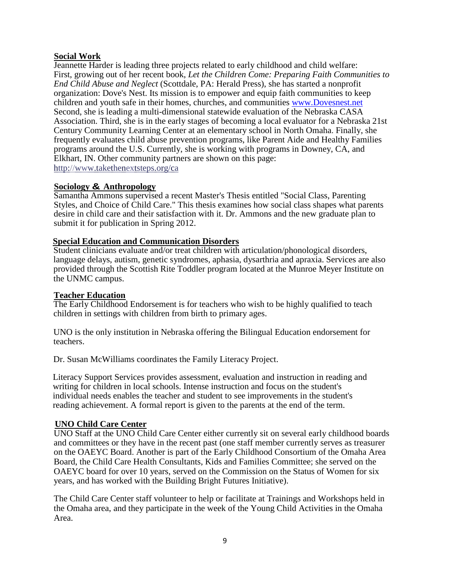# **Social Work**

Jeannette Harder is leading three projects related to early childhood and child welfare: First, growing out of her recent book, *Let the Children Come: Preparing Faith Communities to End Child Abuse and Neglect* (Scottdale, PA: Herald Press), she has started a nonprofit organization: Dove's Nest. Its mission is to empower and equip faith communities to keep children and youth safe in their homes, churches, and communities [www.Dovesnest.net](http://www.dovesnest.net/) Second, she is leading a multi-dimensional statewide evaluation of the Nebraska CASA Association. Third, she is in the early stages of becoming a local evaluator for a Nebraska 21st Century Community Learning Center at an elementary school in North Omaha. Finally, she frequently evaluates child abuse prevention programs, like Parent Aide and Healthy Families programs around the U.S. Currently, she is working with programs in Downey, CA, and Elkhart, IN. Other community partners are shown on this page: http://www.takethenextsteps.org/ca

#### **Sociology & Anthropology**

Samantha Ammons supervised a recent Master's Thesis entitled "Social Class, Parenting Styles, and Choice of Child Care." This thesis examines how social class shapes what parents desire in child care and their satisfaction with it. Dr. Ammons and the new graduate plan to submit it for publication in Spring 2012.

# **Special Education and Communication Disorders**

Student clinicians evaluate and/or treat children with articulation/phonological disorders, language delays, autism, genetic syndromes, aphasia, dysarthria and apraxia. Services are also provided through the Scottish Rite Toddler program located at the Munroe Meyer Institute on the UNMC campus.

### **Teacher Education**

The Early Childhood Endorsement is for teachers who wish to be highly qualified to teach children in settings with children from birth to primary ages.

UNO is the only institution in Nebraska offering the Bilingual Education endorsement for teachers.

Dr. Susan McWilliams coordinates the Family Literacy Project.

Literacy Support Services provides assessment, evaluation and instruction in reading and writing for children in local schools. Intense instruction and focus on the student's individual needs enables the teacher and student to see improvements in the student's reading achievement. A formal report is given to the parents at the end of the term.

# **UNO Child Care Center**

UNO Staff at the UNO Child Care Center either currently sit on several early childhood boards and committees or they have in the recent past (one staff member currently serves as treasurer on the OAEYC Board. Another is part of the Early Childhood Consortium of the Omaha Area Board, the Child Care Health Consultants, Kids and Families Committee; she served on the OAEYC board for over 10 years, served on the Commission on the Status of Women for six years, and has worked with the Building Bright Futures Initiative).

The Child Care Center staff volunteer to help or facilitate at Trainings and Workshops held in the Omaha area, and they participate in the week of the Young Child Activities in the Omaha Area.